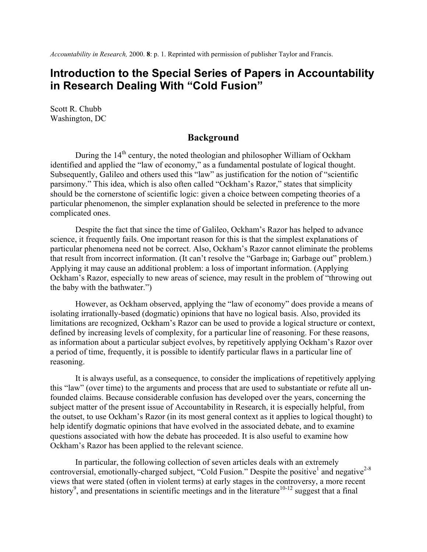# **Introduction to the Special Series of Papers in Accountability in Research Dealing With "Cold Fusion"**

Scott R. Chubb Washington, DC

### **Background**

During the  $14<sup>th</sup>$  century, the noted theologian and philosopher William of Ockham identified and applied the "law of economy," as a fundamental postulate of logical thought. Subsequently, Galileo and others used this "law" as justification for the notion of "scientific parsimony." This idea, which is also often called "Ockham's Razor," states that simplicity should be the cornerstone of scientific logic: given a choice between competing theories of a particular phenomenon, the simpler explanation should be selected in preference to the more complicated ones.

Despite the fact that since the time of Galileo, Ockham's Razor has helped to advance science, it frequently fails. One important reason for this is that the simplest explanations of particular phenomena need not be correct. Also, Ockham's Razor cannot eliminate the problems that result from incorrect information. (It can't resolve the "Garbage in; Garbage out" problem.) Applying it may cause an additional problem: a loss of important information. (Applying Ockham's Razor, especially to new areas of science, may result in the problem of "throwing out the baby with the bathwater.")

However, as Ockham observed, applying the "law of economy" does provide a means of isolating irrationally-based (dogmatic) opinions that have no logical basis. Also, provided its limitations are recognized, Ockham's Razor can be used to provide a logical structure or context, defined by increasing levels of complexity, for a particular line of reasoning. For these reasons, as information about a particular subject evolves, by repetitively applying Ockham's Razor over a period of time, frequently, it is possible to identify particular flaws in a particular line of reasoning.

It is always useful, as a consequence, to consider the implications of repetitively applying this "law" (over time) to the arguments and process that are used to substantiate or refute all unfounded claims. Because considerable confusion has developed over the years, concerning the subject matter of the present issue of Accountability in Research, it is especially helpful, from the outset, to use Ockhamís Razor (in its most general context as it applies to logical thought) to help identify dogmatic opinions that have evolved in the associated debate, and to examine questions associated with how the debate has proceeded. It is also useful to examine how Ockham's Razor has been applied to the relevant science.

In particular, the following collection of seven articles deals with an extremely controversial, emotionally-charged subject, "Cold Fusion." Despite the positive<sup>1</sup> and negative<sup>2-8</sup> views that were stated (often in violent terms) at early stages in the controversy, a more recent history<sup>9</sup>, and presentations in scientific meetings and in the literature<sup>10-12</sup> suggest that a final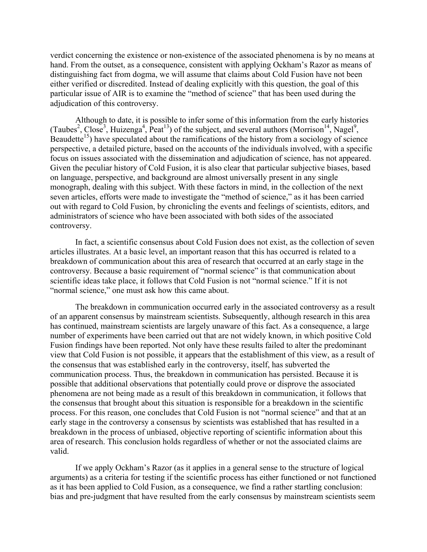verdict concerning the existence or non-existence of the associated phenomena is by no means at hand. From the outset, as a consequence, consistent with applying Ockham's Razor as means of distinguishing fact from dogma, we will assume that claims about Cold Fusion have not been either verified or discredited. Instead of dealing explicitly with this question, the goal of this particular issue of AIR is to examine the "method of science" that has been used during the adjudication of this controversy.

Although to date, it is possible to infer some of this information from the early histories (Taubes<sup>2</sup>, Close<sup>3</sup>, Huizenga<sup>4</sup>, Peat<sup>13</sup>) of the subject, and several authors (Morrison<sup>14</sup>, Nagel<sup>9</sup>, Beaudette<sup>15</sup>) have speculated about the ramifications of the history from a sociology of science perspective, a detailed picture, based on the accounts of the individuals involved, with a specific focus on issues associated with the dissemination and adjudication of science, has not appeared. Given the peculiar history of Cold Fusion, it is also clear that particular subjective biases, based on language, perspective, and background are almost universally present in any single monograph, dealing with this subject. With these factors in mind, in the collection of the next seven articles, efforts were made to investigate the "method of science," as it has been carried out with regard to Cold Fusion, by chronicling the events and feelings of scientists, editors, and administrators of science who have been associated with both sides of the associated controversy.

In fact, a scientific consensus about Cold Fusion does not exist, as the collection of seven articles illustrates. At a basic level, an important reason that this has occurred is related to a breakdown of communication about this area of research that occurred at an early stage in the controversy. Because a basic requirement of "normal science" is that communication about scientific ideas take place, it follows that Cold Fusion is not "normal science." If it is not "normal science," one must ask how this came about.

The breakdown in communication occurred early in the associated controversy as a result of an apparent consensus by mainstream scientists. Subsequently, although research in this area has continued, mainstream scientists are largely unaware of this fact. As a consequence, a large number of experiments have been carried out that are not widely known, in which positive Cold Fusion findings have been reported. Not only have these results failed to alter the predominant view that Cold Fusion is not possible, it appears that the establishment of this view, as a result of the consensus that was established early in the controversy, itself, has subverted the communication process. Thus, the breakdown in communication has persisted. Because it is possible that additional observations that potentially could prove or disprove the associated phenomena are not being made as a result of this breakdown in communication, it follows that the consensus that brought about this situation is responsible for a breakdown in the scientific process. For this reason, one concludes that Cold Fusion is not "normal science" and that at an early stage in the controversy a consensus by scientists was established that has resulted in a breakdown in the process of unbiased, objective reporting of scientific information about this area of research. This conclusion holds regardless of whether or not the associated claims are valid.

If we apply Ockham's Razor (as it applies in a general sense to the structure of logical arguments) as a criteria for testing if the scientific process has either functioned or not functioned as it has been applied to Cold Fusion, as a consequence, we find a rather startling conclusion: bias and pre-judgment that have resulted from the early consensus by mainstream scientists seem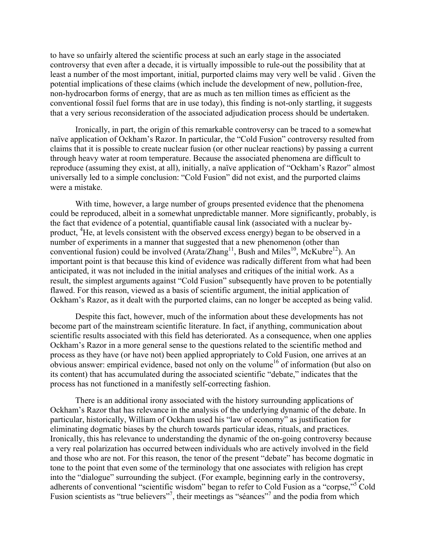to have so unfairly altered the scientific process at such an early stage in the associated controversy that even after a decade, it is virtually impossible to rule-out the possibility that at least a number of the most important, initial, purported claims may very well be valid . Given the potential implications of these claims (which include the development of new, pollution-free, non-hydrocarbon forms of energy, that are as much as ten million times as efficient as the conventional fossil fuel forms that are in use today), this finding is not-only startling, it suggests that a very serious reconsideration of the associated adjudication process should be undertaken.

Ironically, in part, the origin of this remarkable controversy can be traced to a somewhat naïve application of Ockham's Razor. In particular, the "Cold Fusion" controversy resulted from claims that it is possible to create nuclear fusion (or other nuclear reactions) by passing a current through heavy water at room temperature. Because the associated phenomena are difficult to reproduce (assuming they exist, at all), initially, a naïve application of "Ockham's Razor" almost universally led to a simple conclusion: "Cold Fusion" did not exist, and the purported claims were a mistake.

With time, however, a large number of groups presented evidence that the phenomena could be reproduced, albeit in a somewhat unpredictable manner. More significantly, probably, is the fact that evidence of a potential, quantifiable causal link (associated with a nuclear byproduct, <sup>4</sup>He, at levels consistent with the observed excess energy) began to be observed in a number of experiments in a manner that suggested that a new phenomenon (other than conventional fusion) could be involved  $(Arata/Zhang<sup>11</sup>, Bush and Miles<sup>10</sup>, McKubre<sup>12</sup>). An$ important point is that because this kind of evidence was radically different from what had been anticipated, it was not included in the initial analyses and critiques of the initial work. As a result, the simplest arguments against "Cold Fusion" subsequently have proven to be potentially flawed. For this reason, viewed as a basis of scientific argument, the initial application of Ockham's Razor, as it dealt with the purported claims, can no longer be accepted as being valid.

Despite this fact, however, much of the information about these developments has not become part of the mainstream scientific literature. In fact, if anything, communication about scientific results associated with this field has deteriorated. As a consequence, when one applies Ockham's Razor in a more general sense to the questions related to the scientific method and process as they have (or have not) been applied appropriately to Cold Fusion, one arrives at an obvious answer: empirical evidence, based not only on the volume<sup>16</sup> of information (but also on its content) that has accumulated during the associated scientific "debate," indicates that the process has not functioned in a manifestly self-correcting fashion.

There is an additional irony associated with the history surrounding applications of Ockham's Razor that has relevance in the analysis of the underlying dynamic of the debate. In particular, historically, William of Ockham used his "law of economy" as justification for eliminating dogmatic biases by the church towards particular ideas, rituals, and practices. Ironically, this has relevance to understanding the dynamic of the on-going controversy because a very real polarization has occurred between individuals who are actively involved in the field and those who are not. For this reason, the tenor of the present "debate" has become dogmatic in tone to the point that even some of the terminology that one associates with religion has crept into the "dialogue" surrounding the subject. (For example, beginning early in the controversy, adherents of conventional "scientific wisdom" began to refer to Cold Fusion as a "corpse,"<sup>5</sup> Cold Fusion scientists as "true believers"<sup>7</sup>, their meetings as "séances"<sup>7</sup> and the podia from which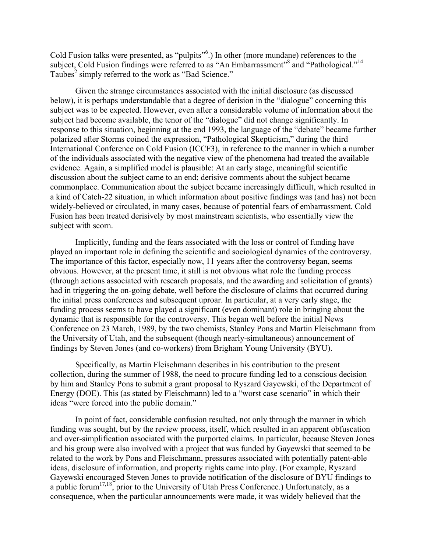Cold Fusion talks were presented, as "pulpits"<sup>6</sup>.) In other (more mundane) references to the subject, Cold Fusion findings were referred to as "An Embarrassment"<sup>8</sup> and "Pathological."<sup>14</sup> Taubes<sup>2</sup> simply referred to the work as "Bad Science."

Given the strange circumstances associated with the initial disclosure (as discussed below), it is perhaps understandable that a degree of derision in the "dialogue" concerning this subject was to be expected. However, even after a considerable volume of information about the subject had become available, the tenor of the "dialogue" did not change significantly. In response to this situation, beginning at the end 1993, the language of the "debate" became further polarized after Storms coined the expression, "Pathological Skepticism," during the third International Conference on Cold Fusion (ICCF3), in reference to the manner in which a number of the individuals associated with the negative view of the phenomena had treated the available evidence. Again, a simplified model is plausible: At an early stage, meaningful scientific discussion about the subject came to an end; derisive comments about the subject became commonplace. Communication about the subject became increasingly difficult, which resulted in a kind of Catch-22 situation, in which information about positive findings was (and has) not been widely-believed or circulated, in many cases, because of potential fears of embarrassment. Cold Fusion has been treated derisively by most mainstream scientists, who essentially view the subject with scorn.

Implicitly, funding and the fears associated with the loss or control of funding have played an important role in defining the scientific and sociological dynamics of the controversy. The importance of this factor, especially now, 11 years after the controversy began, seems obvious. However, at the present time, it still is not obvious what role the funding process (through actions associated with research proposals, and the awarding and solicitation of grants) had in triggering the on-going debate, well before the disclosure of claims that occurred during the initial press conferences and subsequent uproar. In particular, at a very early stage, the funding process seems to have played a significant (even dominant) role in bringing about the dynamic that is responsible for the controversy. This began well before the initial News Conference on 23 March, 1989, by the two chemists, Stanley Pons and Martin Fleischmann from the University of Utah, and the subsequent (though nearly-simultaneous) announcement of findings by Steven Jones (and co-workers) from Brigham Young University (BYU).

Specifically, as Martin Fleischmann describes in his contribution to the present collection, during the summer of 1988, the need to procure funding led to a conscious decision by him and Stanley Pons to submit a grant proposal to Ryszard Gayewski, of the Department of Energy (DOE). This (as stated by Fleischmann) led to a "worst case scenario" in which their ideas "were forced into the public domain."

In point of fact, considerable confusion resulted, not only through the manner in which funding was sought, but by the review process, itself, which resulted in an apparent obfuscation and over-simplification associated with the purported claims. In particular, because Steven Jones and his group were also involved with a project that was funded by Gayewski that seemed to be related to the work by Pons and Fleischmann, pressures associated with potentially patent-able ideas, disclosure of information, and property rights came into play. (For example, Ryszard Gayewski encouraged Steven Jones to provide notification of the disclosure of BYU findings to a public forum<sup>17,18</sup>, prior to the University of Utah Press Conference.) Unfortunately, as a consequence, when the particular announcements were made, it was widely believed that the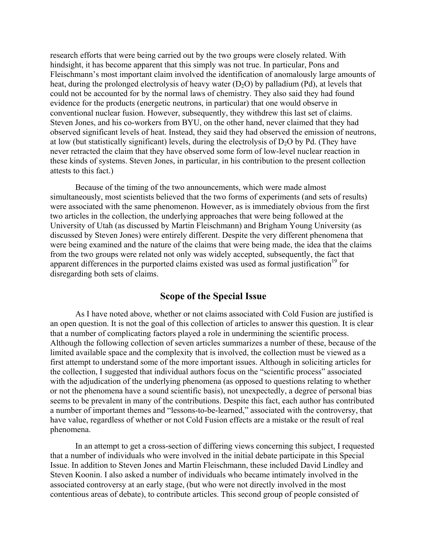research efforts that were being carried out by the two groups were closely related. With hindsight, it has become apparent that this simply was not true. In particular, Pons and Fleischmann's most important claim involved the identification of anomalously large amounts of heat, during the prolonged electrolysis of heavy water  $(D_2O)$  by palladium (Pd), at levels that could not be accounted for by the normal laws of chemistry. They also said they had found evidence for the products (energetic neutrons, in particular) that one would observe in conventional nuclear fusion. However, subsequently, they withdrew this last set of claims. Steven Jones, and his co-workers from BYU, on the other hand, never claimed that they had observed significant levels of heat. Instead, they said they had observed the emission of neutrons, at low (but statistically significant) levels, during the electrolysis of  $D_2O$  by Pd. (They have never retracted the claim that they have observed some form of low-level nuclear reaction in these kinds of systems. Steven Jones, in particular, in his contribution to the present collection attests to this fact.)

Because of the timing of the two announcements, which were made almost simultaneously, most scientists believed that the two forms of experiments (and sets of results) were associated with the same phenomenon. However, as is immediately obvious from the first two articles in the collection, the underlying approaches that were being followed at the University of Utah (as discussed by Martin Fleischmann) and Brigham Young University (as discussed by Steven Jones) were entirely different. Despite the very different phenomena that were being examined and the nature of the claims that were being made, the idea that the claims from the two groups were related not only was widely accepted, subsequently, the fact that apparent differences in the purported claims existed was used as formal justification<sup>19</sup> for disregarding both sets of claims.

## **Scope of the Special Issue**

As I have noted above, whether or not claims associated with Cold Fusion are justified is an open question. It is not the goal of this collection of articles to answer this question. It is clear that a number of complicating factors played a role in undermining the scientific process. Although the following collection of seven articles summarizes a number of these, because of the limited available space and the complexity that is involved, the collection must be viewed as a first attempt to understand some of the more important issues. Although in soliciting articles for the collection, I suggested that individual authors focus on the "scientific process" associated with the adjudication of the underlying phenomena (as opposed to questions relating to whether or not the phenomena have a sound scientific basis), not unexpectedly, a degree of personal bias seems to be prevalent in many of the contributions. Despite this fact, each author has contributed a number of important themes and "lessons-to-be-learned," associated with the controversy, that have value, regardless of whether or not Cold Fusion effects are a mistake or the result of real phenomena.

In an attempt to get a cross-section of differing views concerning this subject, I requested that a number of individuals who were involved in the initial debate participate in this Special Issue. In addition to Steven Jones and Martin Fleischmann, these included David Lindley and Steven Koonin. I also asked a number of individuals who became intimately involved in the associated controversy at an early stage, (but who were not directly involved in the most contentious areas of debate), to contribute articles. This second group of people consisted of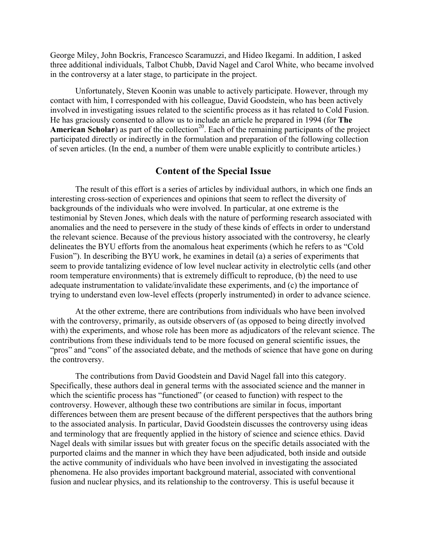George Miley, John Bockris, Francesco Scaramuzzi, and Hideo Ikegami. In addition, I asked three additional individuals, Talbot Chubb, David Nagel and Carol White, who became involved in the controversy at a later stage, to participate in the project.

Unfortunately, Steven Koonin was unable to actively participate. However, through my contact with him, I corresponded with his colleague, David Goodstein, who has been actively involved in investigating issues related to the scientific process as it has related to Cold Fusion. He has graciously consented to allow us to include an article he prepared in 1994 (for **The American Scholar**) as part of the collection<sup>20</sup>. Each of the remaining participants of the project participated directly or indirectly in the formulation and preparation of the following collection of seven articles. (In the end, a number of them were unable explicitly to contribute articles.)

#### **Content of the Special Issue**

The result of this effort is a series of articles by individual authors, in which one finds an interesting cross-section of experiences and opinions that seem to reflect the diversity of backgrounds of the individuals who were involved. In particular, at one extreme is the testimonial by Steven Jones, which deals with the nature of performing research associated with anomalies and the need to persevere in the study of these kinds of effects in order to understand the relevant science. Because of the previous history associated with the controversy, he clearly delineates the BYU efforts from the anomalous heat experiments (which he refers to as "Cold" Fusionî). In describing the BYU work, he examines in detail (a) a series of experiments that seem to provide tantalizing evidence of low level nuclear activity in electrolytic cells (and other room temperature environments) that is extremely difficult to reproduce, (b) the need to use adequate instrumentation to validate/invalidate these experiments, and (c) the importance of trying to understand even low-level effects (properly instrumented) in order to advance science.

At the other extreme, there are contributions from individuals who have been involved with the controversy, primarily, as outside observers of (as opposed to being directly involved with) the experiments, and whose role has been more as adjudicators of the relevant science. The contributions from these individuals tend to be more focused on general scientific issues, the "pros" and "cons" of the associated debate, and the methods of science that have gone on during the controversy.

The contributions from David Goodstein and David Nagel fall into this category. Specifically, these authors deal in general terms with the associated science and the manner in which the scientific process has "functioned" (or ceased to function) with respect to the controversy. However, although these two contributions are similar in focus, important differences between them are present because of the different perspectives that the authors bring to the associated analysis. In particular, David Goodstein discusses the controversy using ideas and terminology that are frequently applied in the history of science and science ethics. David Nagel deals with similar issues but with greater focus on the specific details associated with the purported claims and the manner in which they have been adjudicated, both inside and outside the active community of individuals who have been involved in investigating the associated phenomena. He also provides important background material, associated with conventional fusion and nuclear physics, and its relationship to the controversy. This is useful because it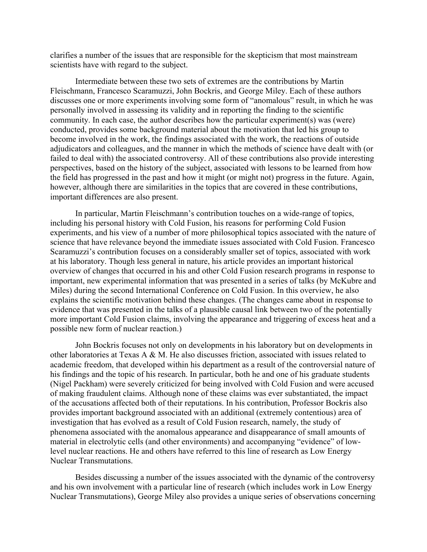clarifies a number of the issues that are responsible for the skepticism that most mainstream scientists have with regard to the subject.

Intermediate between these two sets of extremes are the contributions by Martin Fleischmann, Francesco Scaramuzzi, John Bockris, and George Miley. Each of these authors discusses one or more experiments involving some form of "anomalous" result, in which he was personally involved in assessing its validity and in reporting the finding to the scientific community. In each case, the author describes how the particular experiment(s) was (were) conducted, provides some background material about the motivation that led his group to become involved in the work, the findings associated with the work, the reactions of outside adjudicators and colleagues, and the manner in which the methods of science have dealt with (or failed to deal with) the associated controversy. All of these contributions also provide interesting perspectives, based on the history of the subject, associated with lessons to be learned from how the field has progressed in the past and how it might (or might not) progress in the future. Again, however, although there are similarities in the topics that are covered in these contributions, important differences are also present.

In particular, Martin Fleischmann's contribution touches on a wide-range of topics, including his personal history with Cold Fusion, his reasons for performing Cold Fusion experiments, and his view of a number of more philosophical topics associated with the nature of science that have relevance beyond the immediate issues associated with Cold Fusion. Francesco Scaramuzzi's contribution focuses on a considerably smaller set of topics, associated with work at his laboratory. Though less general in nature, his article provides an important historical overview of changes that occurred in his and other Cold Fusion research programs in response to important, new experimental information that was presented in a series of talks (by McKubre and Miles) during the second International Conference on Cold Fusion. In this overview, he also explains the scientific motivation behind these changes. (The changes came about in response to evidence that was presented in the talks of a plausible causal link between two of the potentially more important Cold Fusion claims, involving the appearance and triggering of excess heat and a possible new form of nuclear reaction.)

John Bockris focuses not only on developments in his laboratory but on developments in other laboratories at Texas A & M. He also discusses friction, associated with issues related to academic freedom, that developed within his department as a result of the controversial nature of his findings and the topic of his research. In particular, both he and one of his graduate students (Nigel Packham) were severely criticized for being involved with Cold Fusion and were accused of making fraudulent claims. Although none of these claims was ever substantiated, the impact of the accusations affected both of their reputations. In his contribution, Professor Bockris also provides important background associated with an additional (extremely contentious) area of investigation that has evolved as a result of Cold Fusion research, namely, the study of phenomena associated with the anomalous appearance and disappearance of small amounts of material in electrolytic cells (and other environments) and accompanying "evidence" of lowlevel nuclear reactions. He and others have referred to this line of research as Low Energy Nuclear Transmutations.

Besides discussing a number of the issues associated with the dynamic of the controversy and his own involvement with a particular line of research (which includes work in Low Energy Nuclear Transmutations), George Miley also provides a unique series of observations concerning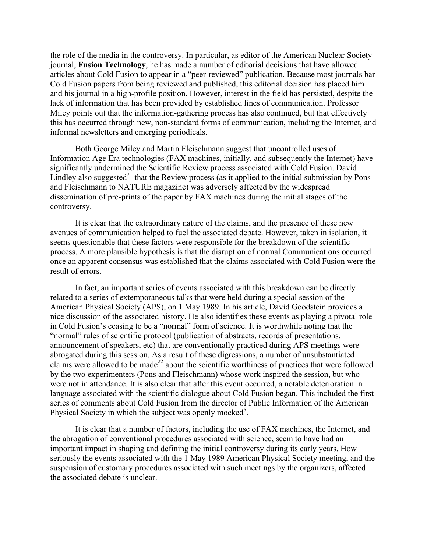the role of the media in the controversy. In particular, as editor of the American Nuclear Society journal, **Fusion Technology**, he has made a number of editorial decisions that have allowed articles about Cold Fusion to appear in a "peer-reviewed" publication. Because most journals bar Cold Fusion papers from being reviewed and published, this editorial decision has placed him and his journal in a high-profile position. However, interest in the field has persisted, despite the lack of information that has been provided by established lines of communication. Professor Miley points out that the information-gathering process has also continued, but that effectively this has occurred through new, non-standard forms of communication, including the Internet, and informal newsletters and emerging periodicals.

Both George Miley and Martin Fleischmann suggest that uncontrolled uses of Information Age Era technologies (FAX machines, initially, and subsequently the Internet) have significantly undermined the Scientific Review process associated with Cold Fusion. David Lindley also suggested<sup>21</sup> that the Review process (as it applied to the initial submission by Pons and Fleischmann to NATURE magazine) was adversely affected by the widespread dissemination of pre-prints of the paper by FAX machines during the initial stages of the controversy.

It is clear that the extraordinary nature of the claims, and the presence of these new avenues of communication helped to fuel the associated debate. However, taken in isolation, it seems questionable that these factors were responsible for the breakdown of the scientific process. A more plausible hypothesis is that the disruption of normal Communications occurred once an apparent consensus was established that the claims associated with Cold Fusion were the result of errors.

In fact, an important series of events associated with this breakdown can be directly related to a series of extemporaneous talks that were held during a special session of the American Physical Society (APS), on 1 May 1989. In his article, David Goodstein provides a nice discussion of the associated history. He also identifies these events as playing a pivotal role in Cold Fusion's ceasing to be a "normal" form of science. It is worthwhile noting that the "normal" rules of scientific protocol (publication of abstracts, records of presentations, announcement of speakers, etc) that are conventionally practiced during APS meetings were abrogated during this session. As a result of these digressions, a number of unsubstantiated claims were allowed to be made<sup>22</sup> about the scientific worthiness of practices that were followed by the two experimenters (Pons and Fleischmann) whose work inspired the session, but who were not in attendance. It is also clear that after this event occurred, a notable deterioration in language associated with the scientific dialogue about Cold Fusion began. This included the first series of comments about Cold Fusion from the director of Public Information of the American Physical Society in which the subject was openly mocked<sup>5</sup>.

It is clear that a number of factors, including the use of FAX machines, the Internet, and the abrogation of conventional procedures associated with science, seem to have had an important impact in shaping and defining the initial controversy during its early years. How seriously the events associated with the 1 May 1989 American Physical Society meeting, and the suspension of customary procedures associated with such meetings by the organizers, affected the associated debate is unclear.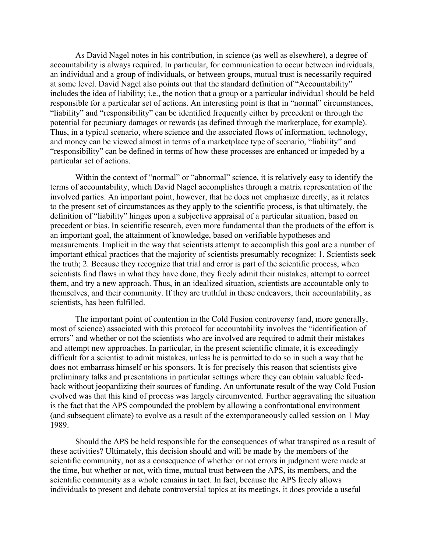As David Nagel notes in his contribution, in science (as well as elsewhere), a degree of accountability is always required. In particular, for communication to occur between individuals, an individual and a group of individuals, or between groups, mutual trust is necessarily required at some level. David Nagel also points out that the standard definition of "Accountability" includes the idea of liability; i.e., the notion that a group or a particular individual should be held responsible for a particular set of actions. An interesting point is that in "normal" circumstances, "liability" and "responsibility" can be identified frequently either by precedent or through the potential for pecuniary damages or rewards (as defined through the marketplace, for example). Thus, in a typical scenario, where science and the associated flows of information, technology, and money can be viewed almost in terms of a marketplace type of scenario, "liability" and "responsibility" can be defined in terms of how these processes are enhanced or impeded by a particular set of actions.

Within the context of "normal" or "abnormal" science, it is relatively easy to identify the terms of accountability, which David Nagel accomplishes through a matrix representation of the involved parties. An important point, however, that he does not emphasize directly, as it relates to the present set of circumstances as they apply to the scientific process, is that ultimately, the definition of "liability" hinges upon a subjective appraisal of a particular situation, based on precedent or bias. In scientific research, even more fundamental than the products of the effort is an important goal, the attainment of knowledge, based on verifiable hypotheses and measurements. Implicit in the way that scientists attempt to accomplish this goal are a number of important ethical practices that the majority of scientists presumably recognize: 1. Scientists seek the truth; 2. Because they recognize that trial and error is part of the scientific process, when scientists find flaws in what they have done, they freely admit their mistakes, attempt to correct them, and try a new approach. Thus, in an idealized situation, scientists are accountable only to themselves, and their community. If they are truthful in these endeavors, their accountability, as scientists, has been fulfilled.

The important point of contention in the Cold Fusion controversy (and, more generally, most of science) associated with this protocol for accountability involves the "identification of errors" and whether or not the scientists who are involved are required to admit their mistakes and attempt new approaches. In particular, in the present scientific climate, it is exceedingly difficult for a scientist to admit mistakes, unless he is permitted to do so in such a way that he does not embarrass himself or his sponsors. It is for precisely this reason that scientists give preliminary talks and presentations in particular settings where they can obtain valuable feedback without jeopardizing their sources of funding. An unfortunate result of the way Cold Fusion evolved was that this kind of process was largely circumvented. Further aggravating the situation is the fact that the APS compounded the problem by allowing a confrontational environment (and subsequent climate) to evolve as a result of the extemporaneously called session on 1 May 1989.

Should the APS be held responsible for the consequences of what transpired as a result of these activities? Ultimately, this decision should and will be made by the members of the scientific community, not as a consequence of whether or not errors in judgment were made at the time, but whether or not, with time, mutual trust between the APS, its members, and the scientific community as a whole remains in tact. In fact, because the APS freely allows individuals to present and debate controversial topics at its meetings, it does provide a useful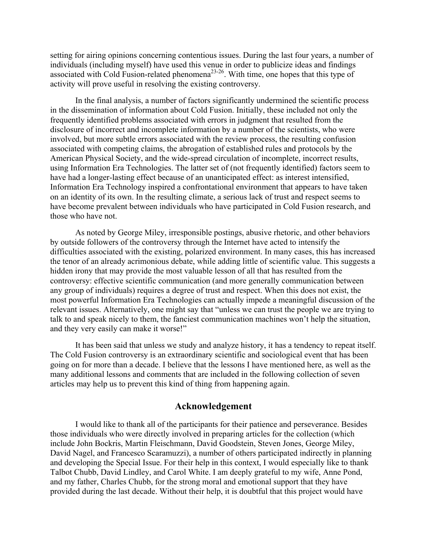setting for airing opinions concerning contentious issues. During the last four years, a number of individuals (including myself) have used this venue in order to publicize ideas and findings associated with Cold Fusion-related phenomena<sup>23-26</sup>. With time, one hopes that this type of activity will prove useful in resolving the existing controversy.

In the final analysis, a number of factors significantly undermined the scientific process in the dissemination of information about Cold Fusion. Initially, these included not only the frequently identified problems associated with errors in judgment that resulted from the disclosure of incorrect and incomplete information by a number of the scientists, who were involved, but more subtle errors associated with the review process, the resulting confusion associated with competing claims, the abrogation of established rules and protocols by the American Physical Society, and the wide-spread circulation of incomplete, incorrect results, using Information Era Technologies. The latter set of (not frequently identified) factors seem to have had a longer-lasting effect because of an unanticipated effect: as interest intensified, Information Era Technology inspired a confrontational environment that appears to have taken on an identity of its own. In the resulting climate, a serious lack of trust and respect seems to have become prevalent between individuals who have participated in Cold Fusion research, and those who have not.

As noted by George Miley, irresponsible postings, abusive rhetoric, and other behaviors by outside followers of the controversy through the Internet have acted to intensify the difficulties associated with the existing, polarized environment. In many cases, this has increased the tenor of an already acrimonious debate, while adding little of scientific value. This suggests a hidden irony that may provide the most valuable lesson of all that has resulted from the controversy: effective scientific communication (and more generally communication between any group of individuals) requires a degree of trust and respect. When this does not exist, the most powerful Information Era Technologies can actually impede a meaningful discussion of the relevant issues. Alternatively, one might say that "unless we can trust the people we are trying to talk to and speak nicely to them, the fanciest communication machines won't help the situation, and they very easily can make it worse!"

It has been said that unless we study and analyze history, it has a tendency to repeat itself. The Cold Fusion controversy is an extraordinary scientific and sociological event that has been going on for more than a decade. I believe that the lessons I have mentioned here, as well as the many additional lessons and comments that are included in the following collection of seven articles may help us to prevent this kind of thing from happening again.

#### **Acknowledgement**

I would like to thank all of the participants for their patience and perseverance. Besides those individuals who were directly involved in preparing articles for the collection (which include John Bockris, Martin Fleischmann, David Goodstein, Steven Jones, George Miley, David Nagel, and Francesco Scaramuzzi), a number of others participated indirectly in planning and developing the Special Issue. For their help in this context, I would especially like to thank Talbot Chubb, David Lindley, and Carol White. I am deeply grateful to my wife, Anne Pond, and my father, Charles Chubb, for the strong moral and emotional support that they have provided during the last decade. Without their help, it is doubtful that this project would have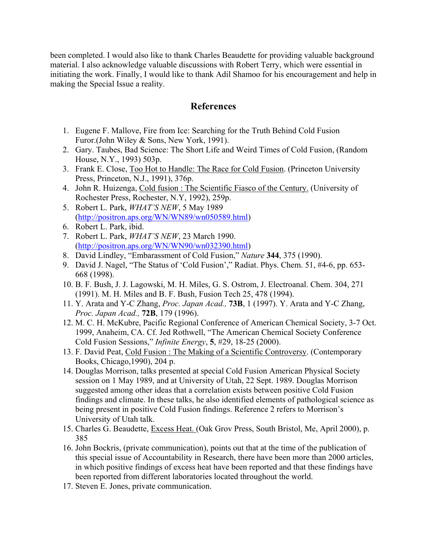been completed. I would also like to thank Charles Beaudette for providing valuable background material. I also acknowledge valuable discussions with Robert Terry, which were essential in initiating the work. Finally, I would like to thank Adil Shamoo for his encouragement and help in making the Special Issue a reality.

## **References**

- 1. Eugene F. Mallove, Fire from Ice: Searching for the Truth Behind Cold Fusion Furor.(John Wiley & Sons, New York, 1991).
- 2. Gary. Taubes, Bad Science: The Short Life and Weird Times of Cold Fusion, (Random House, N.Y., 1993) 503p.
- 3. Frank E. Close, Too Hot to Handle: The Race for Cold Fusion. (Princeton University Press, Princeton, N.J., 1991), 376p.
- 4. John R. Huizenga, Cold fusion : The Scientific Fiasco of the Century. (University of Rochester Press, Rochester, N.Y, 1992), 259p.
- 5. Robert L. Park, *WHAT'S NEW*, 5 May 1989 ([http://positron.aps.org/WN/WN89/wn050589.html\)](http://positron.aps.org/WN/WN89/wn050589.html)
- 6. Robert L. Park, ibid.
- 7. Robert L. Park, *WHATíS NEW*, 23 March 1990. ([http://positron.aps.org/WN/WN90/wn032390.html\)](http://positron.aps.org/WN/WN90/wn032390.html)
- 8. David Lindley, "Embarassment of Cold Fusion," *Nature* 344, 375 (1990).
- 9. David J. Nagel, "The Status of 'Cold Fusion'," Radiat. Phys. Chem. 51, #4-6, pp. 653-668 (1998).
- 10. B. F. Bush, J. J. Lagowski, M. H. Miles, G. S. Ostrom, J. Electroanal. Chem. 304, 271 (1991). M. H. Miles and B. F. Bush, Fusion Tech 25, 478 (1994).
- 11. Y. Arata and Y-C Zhang, *Proc. Japan Acad.,* **73B**, 1 (1997). Y. Arata and Y-C Zhang, *Proc. Japan Acad.,* **72B**, 179 (1996).
- 12. M. C. H. McKubre, Pacific Regional Conference of American Chemical Society, 3-7 Oct. 1999, Anaheim, CA. Cf. Jed Rothwell, "The American Chemical Society Conference Cold Fusion Sessions,î *Infinite Energy*, **5**, #29, 18-25 (2000).
- 13. F. David Peat, Cold Fusion : The Making of a Scientific Controversy. (Contemporary Books, Chicago,1990), 204 p.
- 14. Douglas Morrison, talks presented at special Cold Fusion American Physical Society session on 1 May 1989, and at University of Utah, 22 Sept. 1989. Douglas Morrison suggested among other ideas that a correlation exists between positive Cold Fusion findings and climate. In these talks, he also identified elements of pathological science as being present in positive Cold Fusion findings. Reference 2 refers to Morrison's University of Utah talk.
- 15. Charles G. Beaudette, Excess Heat. (Oak Grov Press, South Bristol, Me, April 2000), p. 385
- 16. John Bockris, (private communication), points out that at the time of the publication of this special issue of Accountability in Research, there have been more than 2000 articles, in which positive findings of excess heat have been reported and that these findings have been reported from different laboratories located throughout the world.
- 17. Steven E. Jones, private communication.